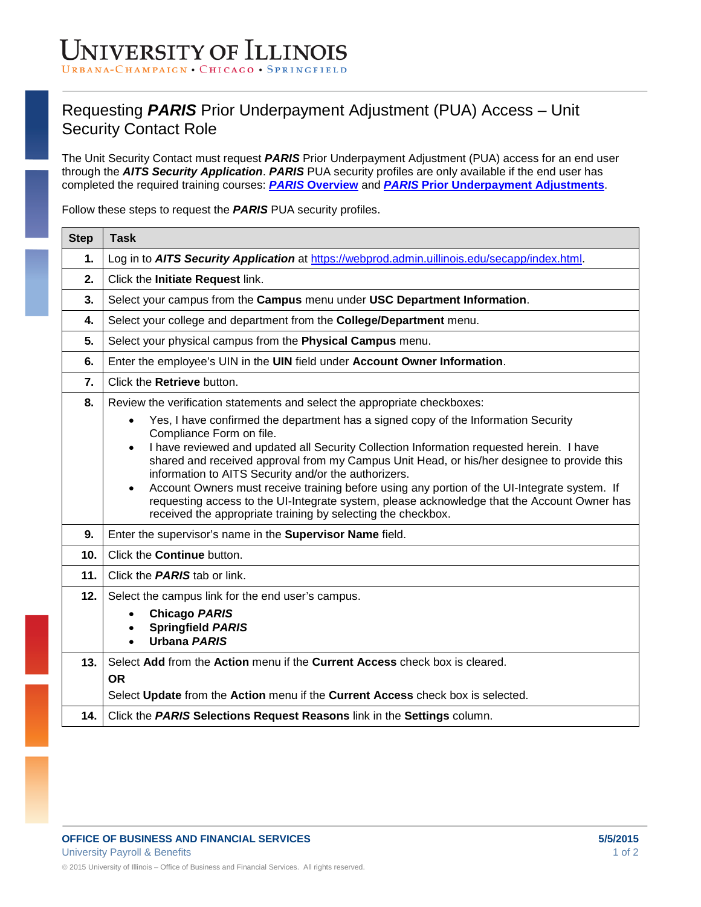## NIVERSITY OF ILLINOIS HAMPAIGN • CHICAGO • SPRINGFI

## Requesting *PARIS* Prior Underpayment Adjustment (PUA) Access – Unit Security Contact Role

The Unit Security Contact must request *PARIS* Prior Underpayment Adjustment (PUA) access for an end user through the *AITS Security Application*. *PARIS* PUA security profiles are only available if the end user has completed the required training courses: *PARIS* **[Overview](https://www.hr.uillinois.edu/cms/One.aspx?portalId=4292&pageId=226612)** and *PARIS* **[Prior Underpayment Adjustments](https://www.hr.uillinois.edu/cms/One.aspx?portalId=4292&pageId=226612)**.

Follow these steps to request the *PARIS* PUA security profiles.

| <b>Step</b>     | <b>Task</b>                                                                                                                                                                                                                                                                                                                                                                                                                                                                                                                                                                                                                                                                                                               |
|-----------------|---------------------------------------------------------------------------------------------------------------------------------------------------------------------------------------------------------------------------------------------------------------------------------------------------------------------------------------------------------------------------------------------------------------------------------------------------------------------------------------------------------------------------------------------------------------------------------------------------------------------------------------------------------------------------------------------------------------------------|
| 1.              | Log in to AITS Security Application at https://webprod.admin.uillinois.edu/secapp/index.html.                                                                                                                                                                                                                                                                                                                                                                                                                                                                                                                                                                                                                             |
| 2.              | Click the Initiate Request link.                                                                                                                                                                                                                                                                                                                                                                                                                                                                                                                                                                                                                                                                                          |
| 3.              | Select your campus from the Campus menu under USC Department Information.                                                                                                                                                                                                                                                                                                                                                                                                                                                                                                                                                                                                                                                 |
| 4.              | Select your college and department from the College/Department menu.                                                                                                                                                                                                                                                                                                                                                                                                                                                                                                                                                                                                                                                      |
| 5.              | Select your physical campus from the Physical Campus menu.                                                                                                                                                                                                                                                                                                                                                                                                                                                                                                                                                                                                                                                                |
| 6.              | Enter the employee's UIN in the UIN field under Account Owner Information.                                                                                                                                                                                                                                                                                                                                                                                                                                                                                                                                                                                                                                                |
| 7.              | Click the Retrieve button.                                                                                                                                                                                                                                                                                                                                                                                                                                                                                                                                                                                                                                                                                                |
| 8.              | Review the verification statements and select the appropriate checkboxes:<br>Yes, I have confirmed the department has a signed copy of the Information Security<br>Compliance Form on file.<br>I have reviewed and updated all Security Collection Information requested herein. I have<br>$\bullet$<br>shared and received approval from my Campus Unit Head, or his/her designee to provide this<br>information to AITS Security and/or the authorizers.<br>Account Owners must receive training before using any portion of the UI-Integrate system. If<br>requesting access to the UI-Integrate system, please acknowledge that the Account Owner has<br>received the appropriate training by selecting the checkbox. |
| 9.              | Enter the supervisor's name in the Supervisor Name field.                                                                                                                                                                                                                                                                                                                                                                                                                                                                                                                                                                                                                                                                 |
| 10 <sub>1</sub> | Click the <b>Continue</b> button.                                                                                                                                                                                                                                                                                                                                                                                                                                                                                                                                                                                                                                                                                         |
| 11.             | Click the <b>PARIS</b> tab or link.                                                                                                                                                                                                                                                                                                                                                                                                                                                                                                                                                                                                                                                                                       |
| 12.             | Select the campus link for the end user's campus.<br><b>Chicago PARIS</b><br><b>Springfield PARIS</b><br><b>Urbana PARIS</b><br>$\bullet$                                                                                                                                                                                                                                                                                                                                                                                                                                                                                                                                                                                 |
| 13.             | Select Add from the Action menu if the Current Access check box is cleared.<br><b>OR</b>                                                                                                                                                                                                                                                                                                                                                                                                                                                                                                                                                                                                                                  |
|                 | Select Update from the Action menu if the Current Access check box is selected.                                                                                                                                                                                                                                                                                                                                                                                                                                                                                                                                                                                                                                           |
| 14.             | Click the PARIS Selections Request Reasons link in the Settings column.                                                                                                                                                                                                                                                                                                                                                                                                                                                                                                                                                                                                                                                   |